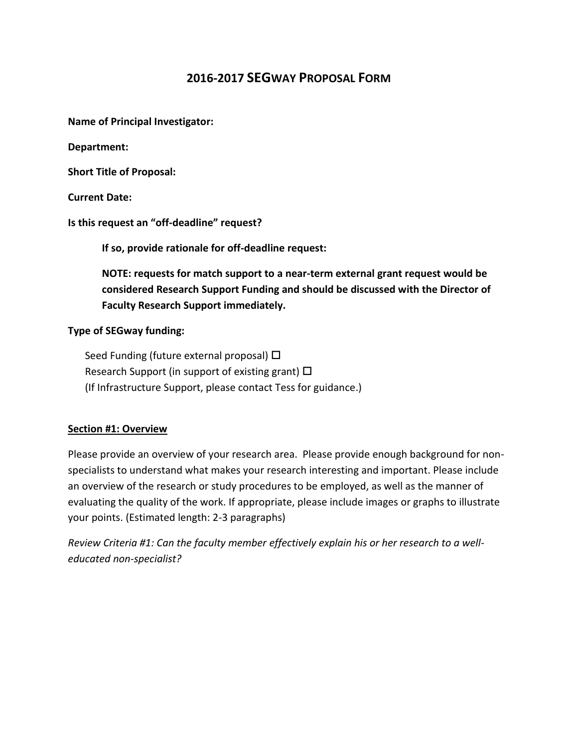# **2016-2017 SEGWAY PROPOSAL FORM**

**Name of Principal Investigator:**

**Department:**

**Short Title of Proposal:**

**Current Date:**

**Is this request an "off-deadline" request?** 

**If so, provide rationale for off-deadline request:**

**NOTE: requests for match support to a near-term external grant request would be considered Research Support Funding and should be discussed with the Director of Faculty Research Support immediately.**

**Type of SEGway funding:** 

Seed Funding (future external proposal)  $\Box$ Research Support (in support of existing grant)  $\Box$ (If Infrastructure Support, please contact Tess for guidance.)

#### **Section #1: Overview**

Please provide an overview of your research area. Please provide enough background for nonspecialists to understand what makes your research interesting and important. Please include an overview of the research or study procedures to be employed, as well as the manner of evaluating the quality of the work. If appropriate, please include images or graphs to illustrate your points. (Estimated length: 2-3 paragraphs)

*Review Criteria #1: Can the faculty member effectively explain his or her research to a welleducated non-specialist?*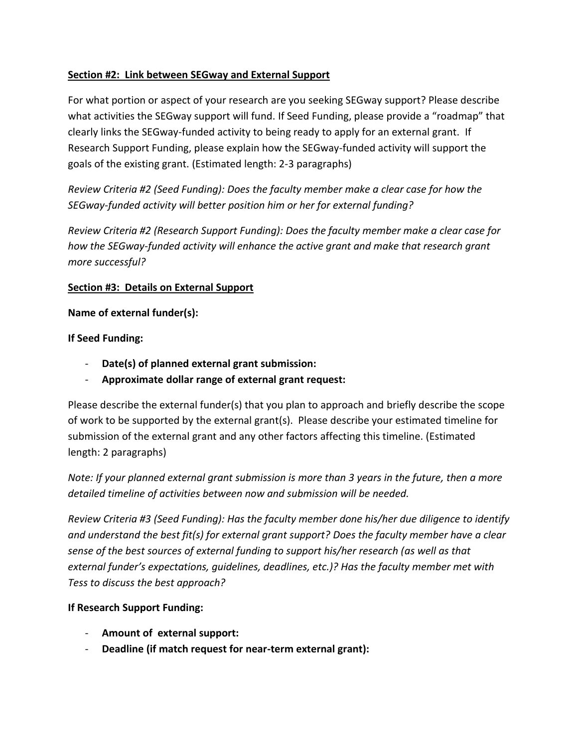### **Section #2: Link between SEGway and External Support**

For what portion or aspect of your research are you seeking SEGway support? Please describe what activities the SEGway support will fund. If Seed Funding, please provide a "roadmap" that clearly links the SEGway-funded activity to being ready to apply for an external grant. If Research Support Funding, please explain how the SEGway-funded activity will support the goals of the existing grant. (Estimated length: 2-3 paragraphs)

*Review Criteria #2 (Seed Funding): Does the faculty member make a clear case for how the SEGway-funded activity will better position him or her for external funding?*

*Review Criteria #2 (Research Support Funding): Does the faculty member make a clear case for how the SEGway-funded activity will enhance the active grant and make that research grant more successful?*

#### **Section #3: Details on External Support**

**Name of external funder(s):**

#### **If Seed Funding:**

- **Date(s) of planned external grant submission:**
- **Approximate dollar range of external grant request:**

Please describe the external funder(s) that you plan to approach and briefly describe the scope of work to be supported by the external grant(s). Please describe your estimated timeline for submission of the external grant and any other factors affecting this timeline. (Estimated length: 2 paragraphs)

*Note: If your planned external grant submission is more than 3 years in the future, then a more detailed timeline of activities between now and submission will be needed.*

*Review Criteria #3 (Seed Funding): Has the faculty member done his/her due diligence to identify and understand the best fit(s) for external grant support? Does the faculty member have a clear sense of the best sources of external funding to support his/her research (as well as that external funder's expectations, guidelines, deadlines, etc.)? Has the faculty member met with Tess to discuss the best approach?*

#### **If Research Support Funding:**

- **Amount of external support:**
- **Deadline (if match request for near-term external grant):**